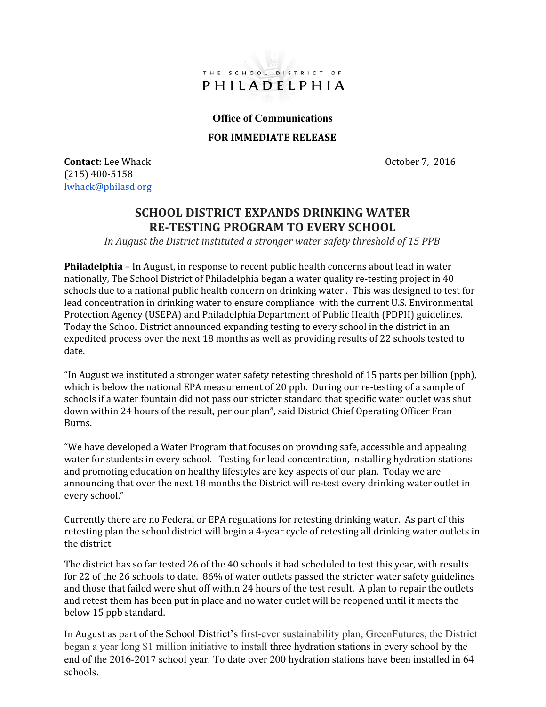

## **Office of Communications**

## FOR IMMEDIATE RELEASE

**Contact:** Lee Whack **October 7, 2016** (215) 400-5158 lwhack@philasd.org

## SCHOOL DISTRICT EXPANDS DRINKING WATER RE-TESTING PROGRAM TO EVERY SCHOOL

In August the District instituted a stronger water safety threshold of 15 PPB

Philadelphia – In August, in response to recent public health concerns about lead in water nationally, The School District of Philadelphia began a water quality re-testing project in 40 schools due to a national public health concern on drinking water . This was designed to test for lead concentration in drinking water to ensure compliance with the current U.S. Environmental Protection Agency (USEPA) and Philadelphia Department of Public Health (PDPH) guidelines. Today the School District announced expanding testing to every school in the district in an expedited process over the next 18 months as well as providing results of 22 schools tested to date.

"In August we instituted a stronger water safety retesting threshold of 15 parts per billion (ppb), which is below the national EPA measurement of 20 ppb. During our re-testing of a sample of schools if a water fountain did not pass our stricter standard that specific water outlet was shut down within 24 hours of the result, per our plan", said District Chief Operating Officer Fran Burns.

"We have developed a Water Program that focuses on providing safe, accessible and appealing water for students in every school. Testing for lead concentration, installing hydration stations and promoting education on healthy lifestyles are key aspects of our plan. Today we are announcing that over the next 18 months the District will re-test every drinking water outlet in every school."

Currently there are no Federal or EPA regulations for retesting drinking water. As part of this retesting plan the school district will begin a 4-year cycle of retesting all drinking water outlets in the district.

The district has so far tested 26 of the 40 schools it had scheduled to test this year, with results for 22 of the 26 schools to date. 86% of water outlets passed the stricter water safety guidelines and those that failed were shut off within 24 hours of the test result. A plan to repair the outlets and retest them has been put in place and no water outlet will be reopened until it meets the below 15 ppb standard.

In August as part of the School District's first-ever sustainability plan, GreenFutures, the District began a year long \$1 million initiative to install three hydration stations in every school by the end of the 2016-2017 school year. To date over 200 hydration stations have been installed in 64 schools.